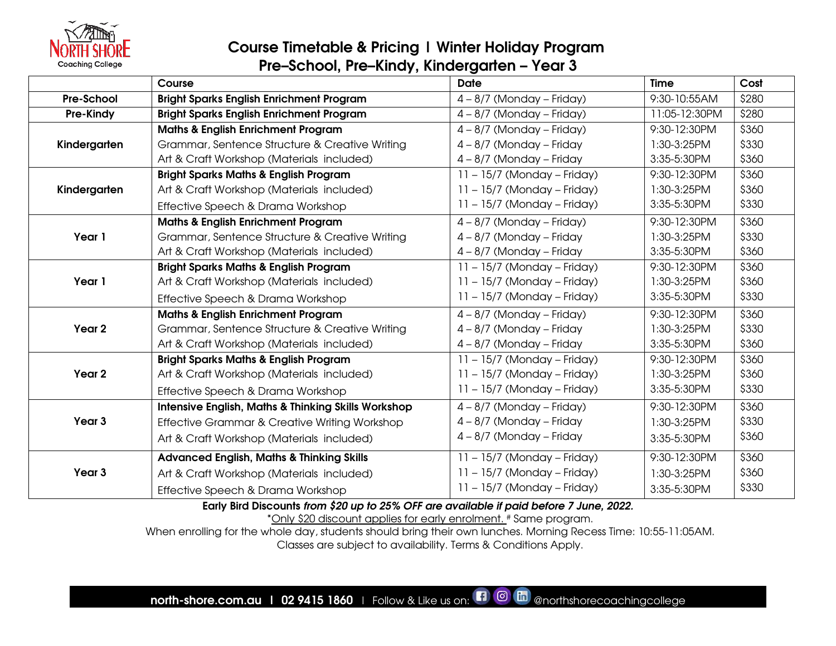

#### Course Timetable & Pricing | Winter Holiday Program Pre–School, Pre–Kindy, Kindergarten – Year 3

|                   | Course                                                         | <b>Date</b>                   | <b>Time</b>   | Cost  |
|-------------------|----------------------------------------------------------------|-------------------------------|---------------|-------|
| <b>Pre-School</b> | <b>Bright Sparks English Enrichment Program</b>                | $4 - 8/7$ (Monday – Friday)   | 9:30-10:55AM  | \$280 |
| Pre-Kindy         | <b>Bright Sparks English Enrichment Program</b>                | $4 - 8/7$ (Monday – Friday)   | 11:05-12:30PM | \$280 |
|                   | <b>Maths &amp; English Enrichment Program</b>                  | $4 - 8/7$ (Monday – Friday)   | 9:30-12:30PM  | \$360 |
| Kindergarten      | Grammar, Sentence Structure & Creative Writing                 | $4 - 8/7$ (Monday - Friday    | 1:30-3:25PM   | \$330 |
|                   | Art & Craft Workshop (Materials included)                      | $4 - 8/7$ (Monday – Friday    | 3:35-5:30PM   | \$360 |
|                   | <b>Bright Sparks Maths &amp; English Program</b>               | $11 - 15/7$ (Monday – Friday) | 9:30-12:30PM  | \$360 |
| Kindergarten      | Art & Craft Workshop (Materials included)                      | $11 - 15/7$ (Monday – Friday) | 1:30-3:25PM   | \$360 |
|                   | Effective Speech & Drama Workshop                              | $11 - 15/7$ (Monday – Friday) | 3:35-5:30PM   | \$330 |
|                   | <b>Maths &amp; English Enrichment Program</b>                  | $4 - 8/7$ (Monday – Friday)   | 9:30-12:30PM  | \$360 |
| Year 1            | Grammar, Sentence Structure & Creative Writing                 | $4 - 8/7$ (Monday – Friday    | 1:30-3:25PM   | \$330 |
|                   | Art & Craft Workshop (Materials included)                      | $4 - 8/7$ (Monday – Friday    | 3:35-5:30PM   | \$360 |
|                   | <b>Bright Sparks Maths &amp; English Program</b>               | 11 - 15/7 (Monday - Friday)   | 9:30-12:30PM  | \$360 |
| Year 1            | Art & Craft Workshop (Materials included)                      | $11 - 15/7$ (Monday – Friday) | 1:30-3:25PM   | \$360 |
|                   | Effective Speech & Drama Workshop                              | $11 - 15/7$ (Monday – Friday) | 3:35-5:30PM   | \$330 |
|                   | <b>Maths &amp; English Enrichment Program</b>                  | $4 - 8/7$ (Monday – Friday)   | 9:30-12:30PM  | \$360 |
| Year <sub>2</sub> | Grammar, Sentence Structure & Creative Writing                 | $4 - 8/7$ (Monday – Friday    | 1:30-3:25PM   | \$330 |
|                   | Art & Craft Workshop (Materials included)                      | $4 - 8/7$ (Monday – Friday    | 3:35-5:30PM   | \$360 |
|                   | <b>Bright Sparks Maths &amp; English Program</b>               | $11 - 15/7$ (Monday - Friday) | 9:30-12:30PM  | \$360 |
| Year <sub>2</sub> | Art & Craft Workshop (Materials included)                      | $11 - 15/7$ (Monday – Friday) | 1:30-3:25PM   | \$360 |
|                   | Effective Speech & Drama Workshop                              | $11 - 15/7$ (Monday – Friday) | 3:35-5:30PM   | \$330 |
|                   | <b>Intensive English, Maths &amp; Thinking Skills Workshop</b> | $4 - 8/7$ (Monday – Friday)   | 9:30-12:30PM  | \$360 |
| Year 3            | Effective Grammar & Creative Writing Workshop                  | $4 - 8/7$ (Monday - Friday    | 1:30-3:25PM   | \$330 |
|                   | Art & Craft Workshop (Materials included)                      | $4 - 8/7$ (Monday – Friday    | 3:35-5:30PM   | \$360 |
|                   | <b>Advanced English, Maths &amp; Thinking Skills</b>           | 11 - 15/7 (Monday - Friday)   | 9:30-12:30PM  | \$360 |
| Year 3            | Art & Craft Workshop (Materials included)                      | $11 - 15/7$ (Monday – Friday) | 1:30-3:25PM   | \$360 |
|                   | Effective Speech & Drama Workshop                              | $11 - 15/7$ (Monday – Friday) | 3:35-5:30PM   | \$330 |

Early Bird Discounts from \$20 up to 25% OFF are available if paid before 7 June, 2022. \*Only \$20 discount applies for early enrolment. # Same program.

When enrolling for the whole day, students should bring their own lunches. Morning Recess Time: 10:55-11:05AM. Classes are subject to availability. Terms & Conditions Apply.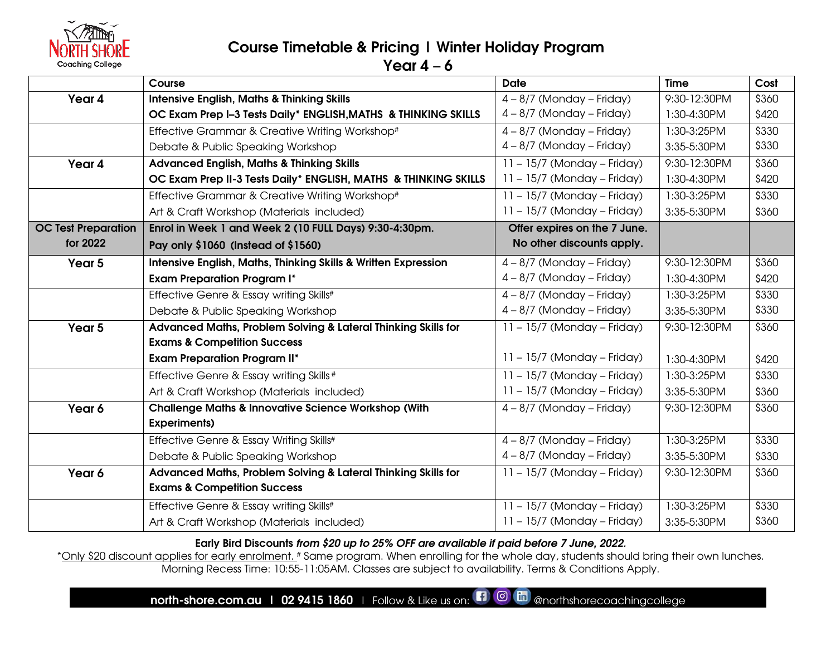

# Course Timetable & Pricing | Winter Holiday Program

Year  $4 - 6$ 

|                            | Course                                                          | <b>Date</b>                   | <b>Time</b>  | Cost  |
|----------------------------|-----------------------------------------------------------------|-------------------------------|--------------|-------|
| Year 4                     | <b>Intensive English, Maths &amp; Thinking Skills</b>           | $4 - 8/7$ (Monday – Friday)   | 9:30-12:30PM | \$360 |
|                            | OC Exam Prep I-3 Tests Daily* ENGLISH, MATHS & THINKING SKILLS  | $4 - 8/7$ (Monday – Friday)   | 1:30-4:30PM  | \$420 |
|                            | Effective Grammar & Creative Writing Workshop#                  | $4 - 8/7$ (Monday – Friday)   | 1:30-3:25PM  | \$330 |
|                            | Debate & Public Speaking Workshop                               | $4 - 8/7$ (Monday – Friday)   | 3:35-5:30PM  | \$330 |
| Year 4                     | <b>Advanced English, Maths &amp; Thinking Skills</b>            | $11 - 15/7$ (Monday – Friday) | 9:30-12:30PM | \$360 |
|                            | OC Exam Prep II-3 Tests Daily* ENGLISH, MATHS & THINKING SKILLS | $11 - 15/7$ (Monday – Friday) | 1:30-4:30PM  | \$420 |
|                            | Effective Grammar & Creative Writing Workshop#                  | $11 - 15/7$ (Monday – Friday) | 1:30-3:25PM  | \$330 |
|                            | Art & Craft Workshop (Materials included)                       | $11 - 15/7$ (Monday – Friday) | 3:35-5:30PM  | \$360 |
| <b>OC Test Preparation</b> | Enrol in Week 1 and Week 2 (10 FULL Days) 9:30-4:30pm.          | Offer expires on the 7 June.  |              |       |
| for 2022                   | Pay only \$1060 (Instead of \$1560)                             | No other discounts apply.     |              |       |
| Year 5                     | Intensive English, Maths, Thinking Skills & Written Expression  | $4 - 8/7$ (Monday – Friday)   | 9:30-12:30PM | \$360 |
|                            | <b>Exam Preparation Program I*</b>                              | $4 - 8/7$ (Monday – Friday)   | 1:30-4:30PM  | \$420 |
|                            | Effective Genre & Essay writing Skills#                         | $4 - 8/7$ (Monday – Friday)   | 1:30-3:25PM  | \$330 |
|                            | Debate & Public Speaking Workshop                               | $4 - 8/7$ (Monday – Friday)   | 3:35-5:30PM  | \$330 |
| Year 5                     | Advanced Maths, Problem Solving & Lateral Thinking Skills for   | $11 - 15/7$ (Monday - Friday) | 9:30-12:30PM | \$360 |
|                            | <b>Exams &amp; Competition Success</b>                          |                               |              |       |
|                            | <b>Exam Preparation Program II*</b>                             | $11 - 15/7$ (Monday – Friday) | 1:30-4:30PM  | \$420 |
|                            | Effective Genre & Essay writing Skills #                        | $11 - 15/7$ (Monday – Friday) | 1:30-3:25PM  | \$330 |
|                            | Art & Craft Workshop (Materials included)                       | $11 - 15/7$ (Monday – Friday) | 3:35-5:30PM  | \$360 |
| Year 6                     | <b>Challenge Maths &amp; Innovative Science Workshop (With</b>  | $4 - 8/7$ (Monday – Friday)   | 9:30-12:30PM | \$360 |
|                            | <b>Experiments)</b>                                             |                               |              |       |
|                            | Effective Genre & Essay Writing Skills#                         | $4 - 8/7$ (Monday – Friday)   | 1:30-3:25PM  | \$330 |
|                            | Debate & Public Speaking Workshop                               | $4 - 8/7$ (Monday – Friday)   | 3:35-5:30PM  | \$330 |
| Year 6                     | Advanced Maths, Problem Solving & Lateral Thinking Skills for   | $11 - 15/7$ (Monday – Friday) | 9:30-12:30PM | \$360 |
|                            | <b>Exams &amp; Competition Success</b>                          |                               |              |       |
|                            | Effective Genre & Essay writing Skills#                         | $11 - 15/7$ (Monday – Friday) | 1:30-3:25PM  | \$330 |
|                            | Art & Craft Workshop (Materials included)                       | $11 - 15/7$ (Monday – Friday) | 3:35-5:30PM  | \$360 |

Early Bird Discounts from \$20 up to 25% OFF are available if paid before 7 June, 2022.

\*Only \$20 discount applies for early enrolment. # Same program. When enrolling for the whole day, students should bring their own lunches. Morning Recess Time: 10:55-11:05AM. Classes are subject to availability. Terms & Conditions Apply.

north-shore.com.au | 02 9415 1860 | Follow & Like us on:  $\Box$  @ morthshorecoachingcollege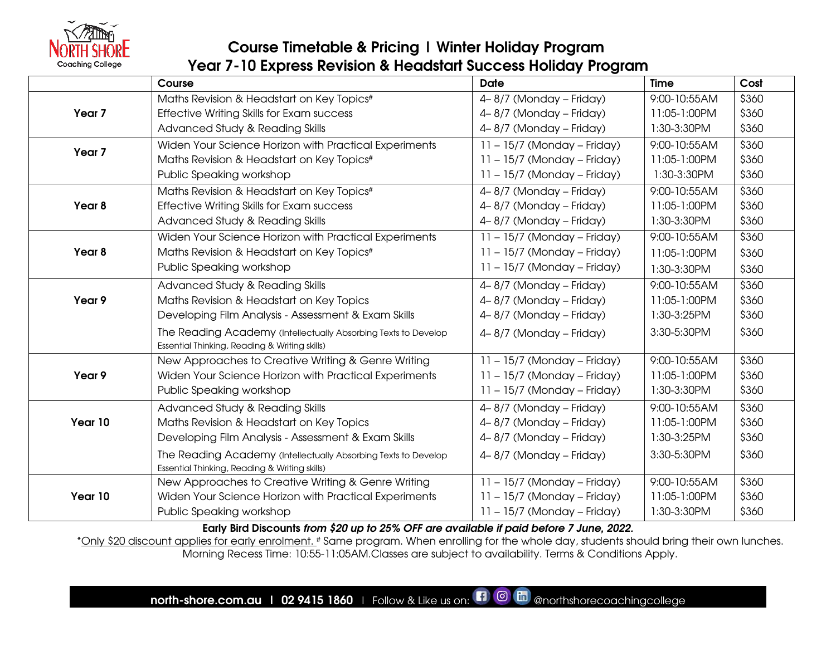

# Course Timetable & Pricing | Winter Holiday Program Year 7-10 Express Revision & Headstart Success Holiday Program

|                   | Course                                                         | <b>Date</b>                   | <b>Time</b>  | Cost  |
|-------------------|----------------------------------------------------------------|-------------------------------|--------------|-------|
|                   | Maths Revision & Headstart on Key Topics#                      | 4-8/7 (Monday - Friday)       | 9:00-10:55AM | \$360 |
| Year <sub>7</sub> | Effective Writing Skills for Exam success                      | 4-8/7 (Monday - Friday)       | 11:05-1:00PM | \$360 |
|                   | Advanced Study & Reading Skills                                | 4-8/7 (Monday - Friday)       | 1:30-3:30PM  | \$360 |
| Year <sub>7</sub> | Widen Your Science Horizon with Practical Experiments          | $11 - 15/7$ (Monday – Friday) | 9:00-10:55AM | \$360 |
|                   | Maths Revision & Headstart on Key Topics#                      | $11 - 15/7$ (Monday – Friday) | 11:05-1:00PM | \$360 |
|                   | Public Speaking workshop                                       | $11 - 15/7$ (Monday – Friday) | 1:30-3:30PM  | \$360 |
|                   | Maths Revision & Headstart on Key Topics#                      | 4-8/7 (Monday - Friday)       | 9:00-10:55AM | \$360 |
| Year 8            | Effective Writing Skills for Exam success                      | 4-8/7 (Monday - Friday)       | 11:05-1:00PM | \$360 |
|                   | Advanced Study & Reading Skills                                | 4-8/7 (Monday - Friday)       | 1:30-3:30PM  | \$360 |
|                   | Widen Your Science Horizon with Practical Experiments          | $11 - 15/7$ (Monday – Friday) | 9:00-10:55AM | \$360 |
| Year 8            | Maths Revision & Headstart on Key Topics#                      | $11 - 15/7$ (Monday - Friday) | 11:05-1:00PM | \$360 |
|                   | Public Speaking workshop                                       | $11 - 15/7$ (Monday – Friday) | 1:30-3:30PM  | \$360 |
|                   | Advanced Study & Reading Skills                                | 4-8/7 (Monday - Friday)       | 9:00-10:55AM | \$360 |
| Year 9            | Maths Revision & Headstart on Key Topics                       | 4-8/7 (Monday - Friday)       | 11:05-1:00PM | \$360 |
|                   | Developing Film Analysis - Assessment & Exam Skills            | 4-8/7 (Monday - Friday)       | 1:30-3:25PM  | \$360 |
|                   | The Reading Academy (Intellectually Absorbing Texts to Develop | 4-8/7 (Monday - Friday)       | 3:30-5:30PM  | \$360 |
|                   | Essential Thinking, Reading & Writing skills)                  |                               |              |       |
|                   | New Approaches to Creative Writing & Genre Writing             | $11 - 15/7$ (Monday – Friday) | 9:00-10:55AM | \$360 |
| Year 9            | Widen Your Science Horizon with Practical Experiments          | $11 - 15/7$ (Monday – Friday) | 11:05-1:00PM | \$360 |
|                   | Public Speaking workshop                                       | $11 - 15/7$ (Monday - Friday) | 1:30-3:30PM  | \$360 |
|                   | Advanced Study & Reading Skills                                | 4-8/7 (Monday - Friday)       | 9:00-10:55AM | \$360 |
| Year 10           | Maths Revision & Headstart on Key Topics                       | 4-8/7 (Monday - Friday)       | 11:05-1:00PM | \$360 |
|                   | Developing Film Analysis - Assessment & Exam Skills            | 4-8/7 (Monday - Friday)       | 1:30-3:25PM  | \$360 |
|                   | The Reading Academy (Intellectually Absorbing Texts to Develop | 4-8/7 (Monday - Friday)       | 3:30-5:30PM  | \$360 |
|                   | Essential Thinking, Reading & Writing skills)                  |                               |              |       |
|                   | New Approaches to Creative Writing & Genre Writing             | $11 - 15/7$ (Monday – Friday) | 9:00-10:55AM | \$360 |
| Year 10           | Widen Your Science Horizon with Practical Experiments          | $11 - 15/7$ (Monday – Friday) | 11:05-1:00PM | \$360 |
|                   | Public Speaking workshop                                       | $11 - 15/7$ (Monday – Friday) | 1:30-3:30PM  | \$360 |

Early Bird Discounts from \$20 up to 25% OFF are available if paid before 7 June, 2022.

\*Only \$20 discount applies for early enrolment. # Same program. When enrolling for the whole day, students should bring their own lunches. Morning Recess Time: 10:55-11:05AM.Classes are subject to availability. Terms & Conditions Apply.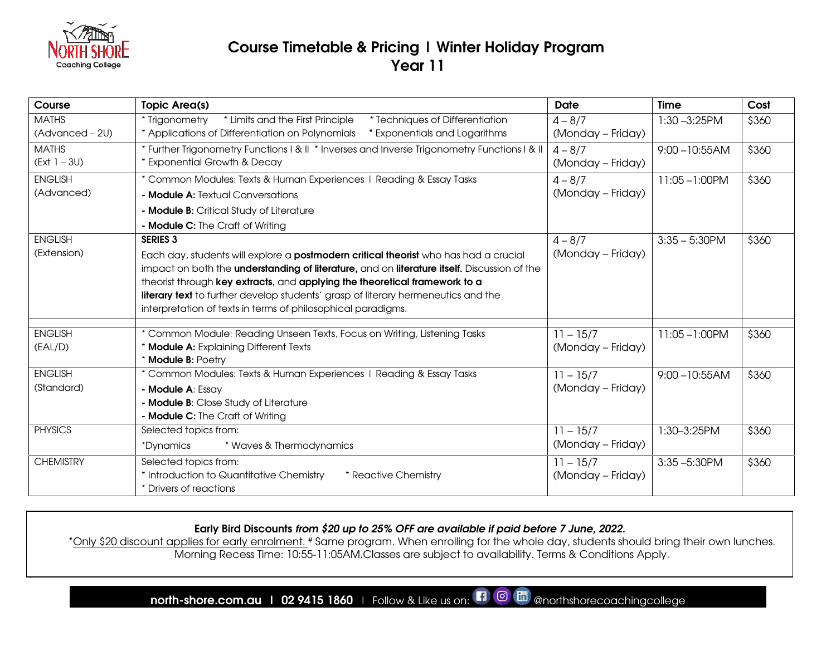

#### Course Timetable & Pricing | Winter Holiday Program Year 11

| Course           | <b>Topic Area(s)</b>                                                                        | <b>Date</b>       | <b>Time</b>       | Cost  |
|------------------|---------------------------------------------------------------------------------------------|-------------------|-------------------|-------|
| <b>MATHS</b>     | * Trigonometry<br>* Limits and the First Principle<br>* Techniques of Differentiation       | $4 - 8/7$         | $1:30 - 3:25$ PM  | \$360 |
| (Advanced – 2U)  | * Applications of Differentiation on Polynomials<br>* Exponentials and Logarithms           | (Monday - Friday) |                   |       |
| <b>MATHS</b>     | * Further Trigonometry Functions   &    * Inverses and Inverse Trigonometry Functions   &   | $4 - 8/7$         | $9:00 - 10:55AM$  | \$360 |
| $(Ext 1 - 3U)$   | * Exponential Growth & Decay                                                                | (Monday – Friday) |                   |       |
| <b>ENGLISH</b>   | * Common Modules: Texts & Human Experiences   Reading & Essay Tasks                         | $4 - 8/7$         | $11:05 - 1:00$ PM | \$360 |
| (Advanced)       | - Module A: Textual Conversations                                                           | (Monday - Friday) |                   |       |
|                  | - Module B: Critical Study of Literature                                                    |                   |                   |       |
|                  | - Module C: The Craft of Writing                                                            |                   |                   |       |
| <b>ENGLISH</b>   | <b>SERIES 3</b>                                                                             | $4 - 8/7$         | $3:35 - 5:30$ PM  | \$360 |
| (Extension)      | Each day, students will explore a <b>postmodern critical theorist</b> who has had a crucial | (Monday – Friday) |                   |       |
|                  | impact on both the understanding of literature, and on literature itself. Discussion of the |                   |                   |       |
|                  | theorist through key extracts, and applying the theoretical framework to a                  |                   |                   |       |
|                  | literary text to further develop students' grasp of literary hermeneutics and the           |                   |                   |       |
|                  | interpretation of texts in terms of philosophical paradigms.                                |                   |                   |       |
| <b>ENGLISH</b>   | * Common Module: Reading Unseen Texts, Focus on Writing, Listening Tasks                    | $11 - 15/7$       | $11:05 - 1:00$ PM | \$360 |
| (EAL/D)          | * Module A: Explaining Different Texts                                                      | (Monday - Friday) |                   |       |
|                  | * Module B: Poetry                                                                          |                   |                   |       |
| <b>ENGLISH</b>   | * Common Modules: Texts & Human Experiences   Reading & Essay Tasks                         | $11 - 15/7$       | $9:00 - 10:55AM$  | \$360 |
| (Standard)       | - Module A: Essay                                                                           | (Monday – Friday) |                   |       |
|                  | - Module B: Close Study of Literature                                                       |                   |                   |       |
|                  | - Module C: The Craft of Writing                                                            |                   |                   |       |
| <b>PHYSICS</b>   | Selected topics from:                                                                       | $11 - 15/7$       | 1:30-3:25PM       | \$360 |
|                  | * Waves & Thermodynamics<br>*Dynamics                                                       | (Monday - Friday) |                   |       |
| <b>CHEMISTRY</b> | Selected topics from:                                                                       | $11 - 15/7$       | $3:35 - 5:30$ PM  | \$360 |
|                  | * Introduction to Quantitative Chemistry<br>* Reactive Chemistry                            | (Monday - Friday) |                   |       |
|                  | * Drivers of reactions                                                                      |                   |                   |       |

#### Early Bird Discounts from \$20 up to 25% OFF are available if paid before 7 June, 2022.

\*Only \$20 discount applies for early enrolment. # Same program. When enrolling for the whole day, students should bring their own lunches. Morning Recess Time: 10:55-11:05AM.Classes are subject to availability. Terms & Conditions Apply.